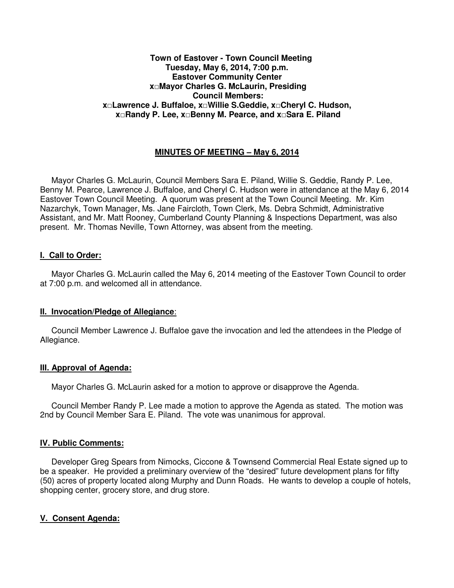#### **Town of Eastover - Town Council Meeting Tuesday, May 6, 2014, 7:00 p.m. Eastover Community Center x□Mayor Charles G. McLaurin, Presiding Council Members: x□Lawrence J. Buffaloe, x□Willie S.Geddie, x□Cheryl C. Hudson, x□Randy P. Lee, x□Benny M. Pearce, and x□Sara E. Piland**

# **MINUTES OF MEETING – May 6, 2014**

 Mayor Charles G. McLaurin, Council Members Sara E. Piland, Willie S. Geddie, Randy P. Lee, Benny M. Pearce, Lawrence J. Buffaloe, and Cheryl C. Hudson were in attendance at the May 6, 2014 Eastover Town Council Meeting. A quorum was present at the Town Council Meeting. Mr. Kim Nazarchyk, Town Manager, Ms. Jane Faircloth, Town Clerk, Ms. Debra Schmidt, Administrative Assistant, and Mr. Matt Rooney, Cumberland County Planning & Inspections Department, was also present. Mr. Thomas Neville, Town Attorney, was absent from the meeting.

#### **I. Call to Order:**

 Mayor Charles G. McLaurin called the May 6, 2014 meeting of the Eastover Town Council to order at 7:00 p.m. and welcomed all in attendance.

#### **II. Invocation/Pledge of Allegiance**:

 Council Member Lawrence J. Buffaloe gave the invocation and led the attendees in the Pledge of Allegiance.

#### **III. Approval of Agenda:**

Mayor Charles G. McLaurin asked for a motion to approve or disapprove the Agenda.

 Council Member Randy P. Lee made a motion to approve the Agenda as stated. The motion was 2nd by Council Member Sara E. Piland. The vote was unanimous for approval.

#### **IV. Public Comments:**

 Developer Greg Spears from Nimocks, Ciccone & Townsend Commercial Real Estate signed up to be a speaker. He provided a preliminary overview of the "desired" future development plans for fifty (50) acres of property located along Murphy and Dunn Roads. He wants to develop a couple of hotels, shopping center, grocery store, and drug store.

#### **V. Consent Agenda:**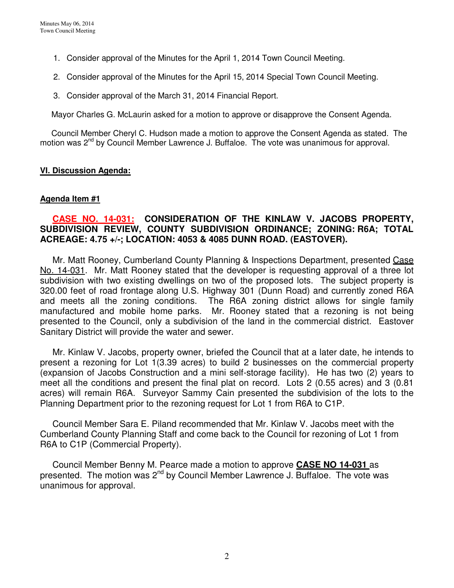- 1. Consider approval of the Minutes for the April 1, 2014 Town Council Meeting.
- 2. Consider approval of the Minutes for the April 15, 2014 Special Town Council Meeting.
- 3. Consider approval of the March 31, 2014 Financial Report.

Mayor Charles G. McLaurin asked for a motion to approve or disapprove the Consent Agenda.

 Council Member Cheryl C. Hudson made a motion to approve the Consent Agenda as stated. The motion was 2<sup>nd</sup> by Council Member Lawrence J. Buffaloe. The vote was unanimous for approval.

# **VI. Discussion Agenda:**

### **Agenda Item #1**

# **CASE NO. 14-031: CONSIDERATION OF THE KINLAW V. JACOBS PROPERTY, SUBDIVISION REVIEW, COUNTY SUBDIVISION ORDINANCE; ZONING: R6A; TOTAL ACREAGE: 4.75 +/-; LOCATION: 4053 & 4085 DUNN ROAD. (EASTOVER).**

 Mr. Matt Rooney, Cumberland County Planning & Inspections Department, presented Case No. 14-031. Mr. Matt Rooney stated that the developer is requesting approval of a three lot subdivision with two existing dwellings on two of the proposed lots. The subject property is 320.00 feet of road frontage along U.S. Highway 301 (Dunn Road) and currently zoned R6A and meets all the zoning conditions. The R6A zoning district allows for single family manufactured and mobile home parks. Mr. Rooney stated that a rezoning is not being presented to the Council, only a subdivision of the land in the commercial district. Eastover Sanitary District will provide the water and sewer.

 Mr. Kinlaw V. Jacobs, property owner, briefed the Council that at a later date, he intends to present a rezoning for Lot 1(3.39 acres) to build 2 businesses on the commercial property (expansion of Jacobs Construction and a mini self-storage facility). He has two (2) years to meet all the conditions and present the final plat on record. Lots 2 (0.55 acres) and 3 (0.81 acres) will remain R6A. Surveyor Sammy Cain presented the subdivision of the lots to the Planning Department prior to the rezoning request for Lot 1 from R6A to C1P.

 Council Member Sara E. Piland recommended that Mr. Kinlaw V. Jacobs meet with the Cumberland County Planning Staff and come back to the Council for rezoning of Lot 1 from R6A to C1P (Commercial Property).

 Council Member Benny M. Pearce made a motion to approve **CASE NO 14-031** as presented. The motion was 2<sup>nd</sup> by Council Member Lawrence J. Buffaloe. The vote was unanimous for approval.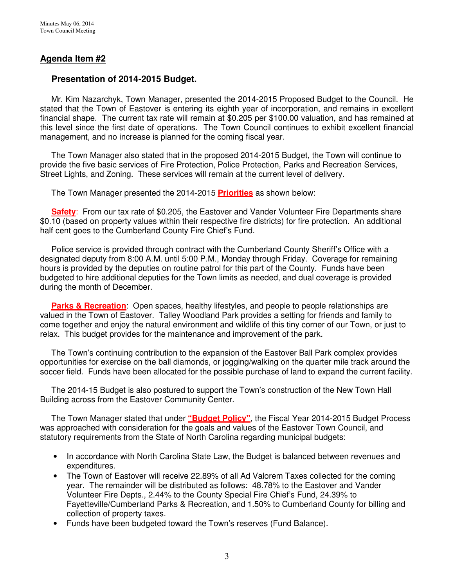# **Agenda Item #2**

# **Presentation of 2014-2015 Budget.**

 Mr. Kim Nazarchyk, Town Manager, presented the 2014-2015 Proposed Budget to the Council. He stated that the Town of Eastover is entering its eighth year of incorporation, and remains in excellent financial shape. The current tax rate will remain at \$0.205 per \$100.00 valuation, and has remained at this level since the first date of operations. The Town Council continues to exhibit excellent financial management, and no increase is planned for the coming fiscal year.

 The Town Manager also stated that in the proposed 2014-2015 Budget, the Town will continue to provide the five basic services of Fire Protection, Police Protection, Parks and Recreation Services, Street Lights, and Zoning. These services will remain at the current level of delivery.

The Town Manager presented the 2014-2015 **Priorities** as shown below:

 **Safety**: From our tax rate of \$0.205, the Eastover and Vander Volunteer Fire Departments share \$0.10 (based on property values within their respective fire districts) for fire protection. An additional half cent goes to the Cumberland County Fire Chief's Fund.

 Police service is provided through contract with the Cumberland County Sheriff's Office with a designated deputy from 8:00 A.M. until 5:00 P.M., Monday through Friday. Coverage for remaining hours is provided by the deputies on routine patrol for this part of the County. Funds have been budgeted to hire additional deputies for the Town limits as needed, and dual coverage is provided during the month of December.

**Parks & Recreation:** Open spaces, healthy lifestyles, and people to people relationships are valued in the Town of Eastover. Talley Woodland Park provides a setting for friends and family to come together and enjoy the natural environment and wildlife of this tiny corner of our Town, or just to relax. This budget provides for the maintenance and improvement of the park.

 The Town's continuing contribution to the expansion of the Eastover Ball Park complex provides opportunities for exercise on the ball diamonds, or jogging/walking on the quarter mile track around the soccer field. Funds have been allocated for the possible purchase of land to expand the current facility.

 The 2014-15 Budget is also postured to support the Town's construction of the New Town Hall Building across from the Eastover Community Center.

 The Town Manager stated that under **"Budget Policy"**, the Fiscal Year 2014-2015 Budget Process was approached with consideration for the goals and values of the Eastover Town Council, and statutory requirements from the State of North Carolina regarding municipal budgets:

- In accordance with North Carolina State Law, the Budget is balanced between revenues and expenditures.
- The Town of Eastover will receive 22.89% of all Ad Valorem Taxes collected for the coming year. The remainder will be distributed as follows: 48.78% to the Eastover and Vander Volunteer Fire Depts., 2.44% to the County Special Fire Chief's Fund, 24.39% to Fayetteville/Cumberland Parks & Recreation, and 1.50% to Cumberland County for billing and collection of property taxes.
- Funds have been budgeted toward the Town's reserves (Fund Balance).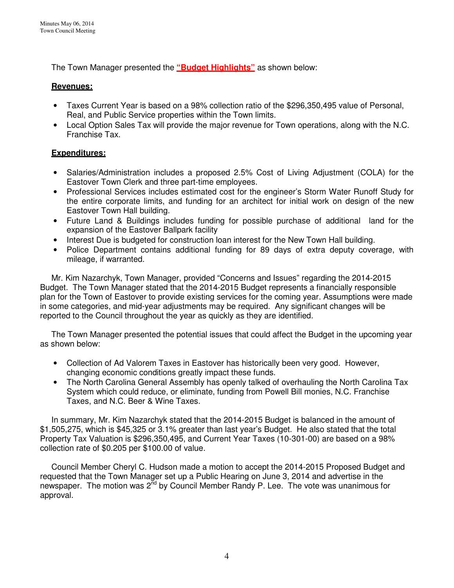The Town Manager presented the **"Budget Highlights"** as shown below:

# **Revenues:**

- Taxes Current Year is based on a 98% collection ratio of the \$296,350,495 value of Personal, Real, and Public Service properties within the Town limits.
- Local Option Sales Tax will provide the major revenue for Town operations, along with the N.C. Franchise Tax.

# **Expenditures:**

- Salaries/Administration includes a proposed 2.5% Cost of Living Adjustment (COLA) for the Eastover Town Clerk and three part-time employees.
- Professional Services includes estimated cost for the engineer's Storm Water Runoff Study for the entire corporate limits, and funding for an architect for initial work on design of the new Eastover Town Hall building.
- Future Land & Buildings includes funding for possible purchase of additional land for the expansion of the Eastover Ballpark facility
- Interest Due is budgeted for construction loan interest for the New Town Hall building.
- Police Department contains additional funding for 89 days of extra deputy coverage, with mileage, if warranted.

 Mr. Kim Nazarchyk, Town Manager, provided "Concerns and Issues" regarding the 2014-2015 Budget. The Town Manager stated that the 2014-2015 Budget represents a financially responsible plan for the Town of Eastover to provide existing services for the coming year. Assumptions were made in some categories, and mid-year adjustments may be required. Any significant changes will be reported to the Council throughout the year as quickly as they are identified.

 The Town Manager presented the potential issues that could affect the Budget in the upcoming year as shown below:

- Collection of Ad Valorem Taxes in Eastover has historically been very good. However, changing economic conditions greatly impact these funds.
- The North Carolina General Assembly has openly talked of overhauling the North Carolina Tax System which could reduce, or eliminate, funding from Powell Bill monies, N.C. Franchise Taxes, and N.C. Beer & Wine Taxes.

 In summary, Mr. Kim Nazarchyk stated that the 2014-2015 Budget is balanced in the amount of \$1,505,275, which is \$45,325 or 3.1% greater than last year's Budget. He also stated that the total Property Tax Valuation is \$296,350,495, and Current Year Taxes (10-301-00) are based on a 98% collection rate of \$0.205 per \$100.00 of value.

 Council Member Cheryl C. Hudson made a motion to accept the 2014-2015 Proposed Budget and requested that the Town Manager set up a Public Hearing on June 3, 2014 and advertise in the newspaper. The motion was  $2<sup>nd</sup>$  by Council Member Randy P. Lee. The vote was unanimous for approval.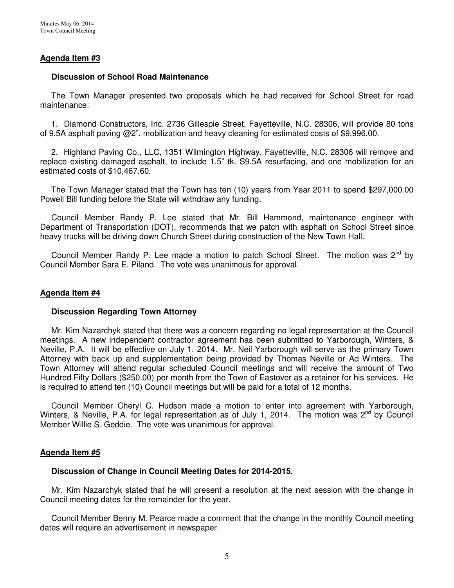### **Agenda Item #3**

#### **Discussion of School Road Maintenance**

 The Town Manager presented two proposals which he had received for School Street for road maintenance:

 1. Diamond Constructors, Inc. 2736 Gillespie Street, Fayetteville, N.C. 28306, will provide 80 tons of 9.5A asphalt paving @2", mobilization and heavy cleaning for estimated costs of \$9,996.00.

 2. Highland Paving Co., LLC, 1351 Wilmington Highway, Fayetteville, N.C. 28306 will remove and replace existing damaged asphalt, to include 1.5" tk. S9.5A resurfacing, and one mobilization for an estimated costs of \$10,467.60.

 The Town Manager stated that the Town has ten (10) years from Year 2011 to spend \$297,000.00 Powell Bill funding before the State will withdraw any funding.

 Council Member Randy P. Lee stated that Mr. Bill Hammond, maintenance engineer with Department of Transportation (DOT), recommends that we patch with asphalt on School Street since heavy trucks will be driving down Church Street during construction of the New Town Hall.

Council Member Randy P. Lee made a motion to patch School Street. The motion was  $2^{nd}$  by Council Member Sara E. Piland. The vote was unanimous for approval.

#### **Agenda Item #4**

#### **Discussion Regarding Town Attorney**

 Mr. Kim Nazarchyk stated that there was a concern regarding no legal representation at the Council meetings. A new independent contractor agreement has been submitted to Yarborough, Winters, & Neville, P.A. It will be effective on July 1, 2014. Mr. Neil Yarborough will serve as the primary Town Attorney with back up and supplementation being provided by Thomas Neville or Ad Winters. The Town Attorney will attend regular scheduled Council meetings and will receive the amount of Two Hundred Fifty Dollars (\$250.00) per month from the Town of Eastover as a retainer for his services. He is required to attend ten (10) Council meetings but will be paid for a total of 12 months.

 Council Member Cheryl C. Hudson made a motion to enter into agreement with Yarborough, Winters, & Neville, P.A. for legal representation as of July 1, 2014. The motion was  $2^{nd}$  by Council Member Willie S. Geddie. The vote was unanimous for approval.

### **Agenda Item #5**

#### **Discussion of Change in Council Meeting Dates for 2014-2015.**

 Mr. Kim Nazarchyk stated that he will present a resolution at the next session with the change in Council meeting dates for the remainder for the year.

 Council Member Benny M. Pearce made a comment that the change in the monthly Council meeting dates will require an advertisement in newspaper.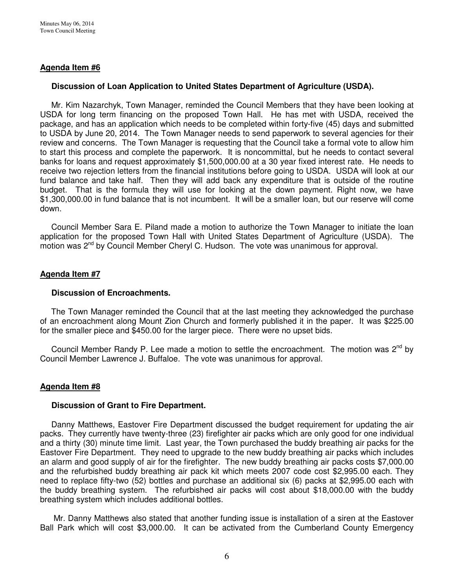### **Agenda Item #6**

### **Discussion of Loan Application to United States Department of Agriculture (USDA).**

 Mr. Kim Nazarchyk, Town Manager, reminded the Council Members that they have been looking at USDA for long term financing on the proposed Town Hall. He has met with USDA, received the package, and has an application which needs to be completed within forty-five (45) days and submitted to USDA by June 20, 2014. The Town Manager needs to send paperwork to several agencies for their review and concerns. The Town Manager is requesting that the Council take a formal vote to allow him to start this process and complete the paperwork. It is noncommittal, but he needs to contact several banks for loans and request approximately \$1,500,000.00 at a 30 year fixed interest rate. He needs to receive two rejection letters from the financial institutions before going to USDA. USDA will look at our fund balance and take half. Then they will add back any expenditure that is outside of the routine budget. That is the formula they will use for looking at the down payment. Right now, we have \$1,300,000.00 in fund balance that is not incumbent. It will be a smaller loan, but our reserve will come down.

 Council Member Sara E. Piland made a motion to authorize the Town Manager to initiate the loan application for the proposed Town Hall with United States Department of Agriculture (USDA). The motion was 2<sup>nd</sup> by Council Member Cheryl C. Hudson. The vote was unanimous for approval.

#### **Agenda Item #7**

#### **Discussion of Encroachments.**

 The Town Manager reminded the Council that at the last meeting they acknowledged the purchase of an encroachment along Mount Zion Church and formerly published it in the paper. It was \$225.00 for the smaller piece and \$450.00 for the larger piece. There were no upset bids.

Council Member Randy P. Lee made a motion to settle the encroachment. The motion was  $2^{nd}$  by Council Member Lawrence J. Buffaloe. The vote was unanimous for approval.

#### **Agenda Item #8**

#### **Discussion of Grant to Fire Department.**

 Danny Matthews, Eastover Fire Department discussed the budget requirement for updating the air packs. They currently have twenty-three (23) firefighter air packs which are only good for one individual and a thirty (30) minute time limit. Last year, the Town purchased the buddy breathing air packs for the Eastover Fire Department. They need to upgrade to the new buddy breathing air packs which includes an alarm and good supply of air for the firefighter. The new buddy breathing air packs costs \$7,000.00 and the refurbished buddy breathing air pack kit which meets 2007 code cost \$2,995.00 each. They need to replace fifty-two (52) bottles and purchase an additional six (6) packs at \$2,995.00 each with the buddy breathing system. The refurbished air packs will cost about \$18,000.00 with the buddy breathing system which includes additional bottles.

 Mr. Danny Matthews also stated that another funding issue is installation of a siren at the Eastover Ball Park which will cost \$3,000.00. It can be activated from the Cumberland County Emergency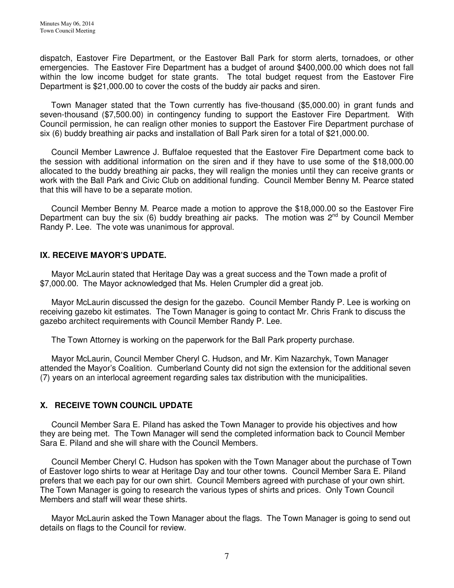dispatch, Eastover Fire Department, or the Eastover Ball Park for storm alerts, tornadoes, or other emergencies. The Eastover Fire Department has a budget of around \$400,000.00 which does not fall within the low income budget for state grants. The total budget request from the Eastover Fire Department is \$21,000.00 to cover the costs of the buddy air packs and siren.

 Town Manager stated that the Town currently has five-thousand (\$5,000.00) in grant funds and seven-thousand (\$7,500.00) in contingency funding to support the Eastover Fire Department. With Council permission, he can realign other monies to support the Eastover Fire Department purchase of six (6) buddy breathing air packs and installation of Ball Park siren for a total of \$21,000.00.

 Council Member Lawrence J. Buffaloe requested that the Eastover Fire Department come back to the session with additional information on the siren and if they have to use some of the \$18,000.00 allocated to the buddy breathing air packs, they will realign the monies until they can receive grants or work with the Ball Park and Civic Club on additional funding. Council Member Benny M. Pearce stated that this will have to be a separate motion.

 Council Member Benny M. Pearce made a motion to approve the \$18,000.00 so the Eastover Fire Department can buy the six (6) buddy breathing air packs. The motion was  $2^{nd}$  by Council Member Randy P. Lee. The vote was unanimous for approval.

### **IX. RECEIVE MAYOR'S UPDATE.**

 Mayor McLaurin stated that Heritage Day was a great success and the Town made a profit of \$7,000.00. The Mayor acknowledged that Ms. Helen Crumpler did a great job.

 Mayor McLaurin discussed the design for the gazebo. Council Member Randy P. Lee is working on receiving gazebo kit estimates. The Town Manager is going to contact Mr. Chris Frank to discuss the gazebo architect requirements with Council Member Randy P. Lee.

The Town Attorney is working on the paperwork for the Ball Park property purchase.

 Mayor McLaurin, Council Member Cheryl C. Hudson, and Mr. Kim Nazarchyk, Town Manager attended the Mayor's Coalition. Cumberland County did not sign the extension for the additional seven (7) years on an interlocal agreement regarding sales tax distribution with the municipalities.

# **X. RECEIVE TOWN COUNCIL UPDATE**

 Council Member Sara E. Piland has asked the Town Manager to provide his objectives and how they are being met. The Town Manager will send the completed information back to Council Member Sara E. Piland and she will share with the Council Members.

 Council Member Cheryl C. Hudson has spoken with the Town Manager about the purchase of Town of Eastover logo shirts to wear at Heritage Day and tour other towns. Council Member Sara E. Piland prefers that we each pay for our own shirt. Council Members agreed with purchase of your own shirt. The Town Manager is going to research the various types of shirts and prices. Only Town Council Members and staff will wear these shirts.

 Mayor McLaurin asked the Town Manager about the flags. The Town Manager is going to send out details on flags to the Council for review.